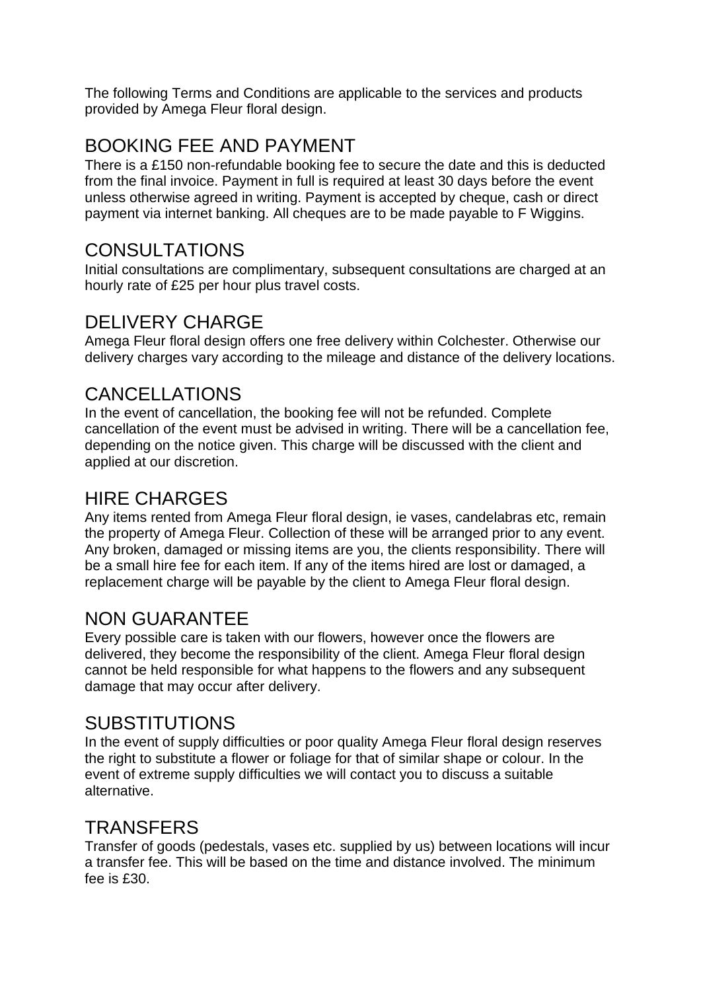The following Terms and Conditions are applicable to the services and products provided by Amega Fleur floral design.

## BOOKING FEE AND PAYMENT

There is a £150 non-refundable booking fee to secure the date and this is deducted from the final invoice. Payment in full is required at least 30 days before the event unless otherwise agreed in writing. Payment is accepted by cheque, cash or direct payment via internet banking. All cheques are to be made payable to F Wiggins.

### CONSULTATIONS

Initial consultations are complimentary, subsequent consultations are charged at an hourly rate of £25 per hour plus travel costs.

### DELIVERY CHARGE

Amega Fleur floral design offers one free delivery within Colchester. Otherwise our delivery charges vary according to the mileage and distance of the delivery locations.

### CANCELLATIONS

In the event of cancellation, the booking fee will not be refunded. Complete cancellation of the event must be advised in writing. There will be a cancellation fee, depending on the notice given. This charge will be discussed with the client and applied at our discretion.

#### HIRE CHARGES

Any items rented from Amega Fleur floral design, ie vases, candelabras etc, remain the property of Amega Fleur. Collection of these will be arranged prior to any event. Any broken, damaged or missing items are you, the clients responsibility. There will be a small hire fee for each item. If any of the items hired are lost or damaged, a replacement charge will be payable by the client to Amega Fleur floral design.

### NON GUARANTEE

Every possible care is taken with our flowers, however once the flowers are delivered, they become the responsibility of the client. Amega Fleur floral design cannot be held responsible for what happens to the flowers and any subsequent damage that may occur after delivery.

#### SUBSTITUTIONS

In the event of supply difficulties or poor quality Amega Fleur floral design reserves the right to substitute a flower or foliage for that of similar shape or colour. In the event of extreme supply difficulties we will contact you to discuss a suitable alternative.

#### **TRANSFERS**

Transfer of goods (pedestals, vases etc. supplied by us) between locations will incur a transfer fee. This will be based on the time and distance involved. The minimum fee is £30.